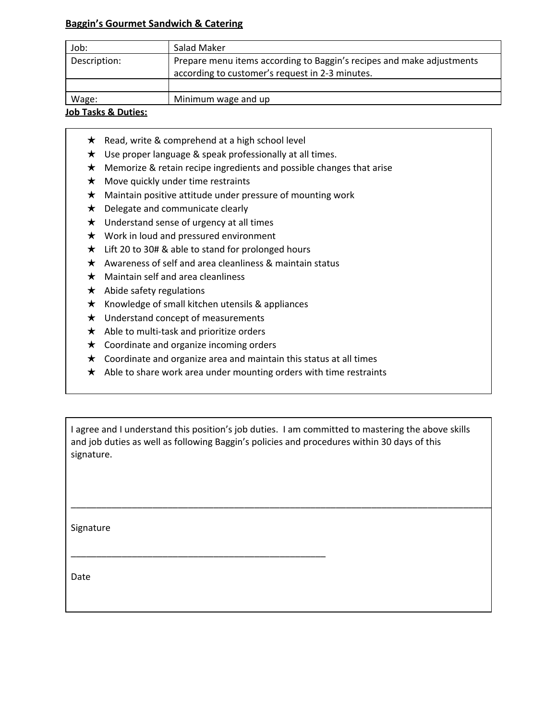## **Baggin's Gourmet Sandwich & Catering**

| Job:         | Salad Maker                                                                                                              |
|--------------|--------------------------------------------------------------------------------------------------------------------------|
| Description: | Prepare menu items according to Baggin's recipes and make adjustments<br>according to customer's request in 2-3 minutes. |
|              |                                                                                                                          |
| Wage:        | Minimum wage and up                                                                                                      |

## **Job Tasks & Duties:**

- ★ Read, write & comprehend at a high school level
- ★ Use proper language & speak professionally at all times.
- ★ Memorize & retain recipe ingredients and possible changes that arise
- $\star$  Move quickly under time restraints
- ★ Maintain positive attitude under pressure of mounting work
- ★ Delegate and communicate clearly
- $\star$  Understand sense of urgency at all times
- ★ Work in loud and pressured environment
- ★ Lift 20 to 30# & able to stand for prolonged hours
- $\star$  Awareness of self and area cleanliness & maintain status
- $\star$  Maintain self and area cleanliness
- $\star$  Abide safety regulations
- $\star$  Knowledge of small kitchen utensils & appliances

\_\_\_\_\_\_\_\_\_\_\_\_\_\_\_\_\_\_\_\_\_\_\_\_\_\_\_\_\_\_\_\_\_\_\_\_\_\_\_\_\_\_\_\_\_\_\_\_\_\_

- ★ Understand concept of measurements
- $\star$  Able to multi-task and prioritize orders
- ★ Coordinate and organize incoming orders
- $\star$  Coordinate and organize area and maintain this status at all times
- $\star$  Able to share work area under mounting orders with time restraints

I agree and I understand this position's job duties. I am committed to mastering the above skills and job duties as well as following Baggin's policies and procedures within 30 days of this signature.

\_\_\_\_\_\_\_\_\_\_\_\_\_\_\_\_\_\_\_\_\_\_\_\_\_\_\_\_\_\_\_\_\_\_\_\_\_\_\_\_\_\_\_\_\_\_\_\_\_\_\_\_\_\_\_\_\_\_\_\_\_\_\_\_\_\_\_\_\_\_\_\_\_\_\_\_\_\_\_\_\_\_\_\_\_\_\_

Signature

Date